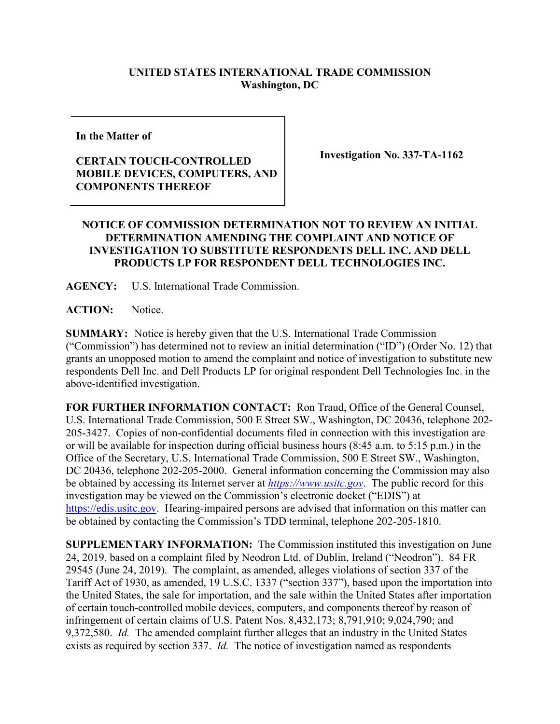## **UNITED STATES INTERNATIONAL TRADE COMMISSION Washington, DC**

**In the Matter of**

## **CERTAIN TOUCH-CONTROLLED MOBILE DEVICES, COMPUTERS, AND COMPONENTS THEREOF**

**Investigation No. 337-TA-1162**

## **NOTICE OF COMMISSION DETERMINATION NOT TO REVIEW AN INITIAL DETERMINATION AMENDING THE COMPLAINT AND NOTICE OF INVESTIGATION TO SUBSTITUTE RESPONDENTS DELL INC. AND DELL PRODUCTS LP FOR RESPONDENT DELL TECHNOLOGIES INC.**

**AGENCY:** U.S. International Trade Commission.

**ACTION:** Notice.

**SUMMARY:** Notice is hereby given that the U.S. International Trade Commission ("Commission") has determined not to review an initial determination ("ID") (Order No. 12) that grants an unopposed motion to amend the complaint and notice of investigation to substitute new respondents Dell Inc. and Dell Products LP for original respondent Dell Technologies Inc. in the above-identified investigation.

**FOR FURTHER INFORMATION CONTACT:** Ron Traud, Office of the General Counsel, U.S. International Trade Commission, 500 E Street SW., Washington, DC 20436, telephone 202- 205-3427. Copies of non-confidential documents filed in connection with this investigation are or will be available for inspection during official business hours (8:45 a.m. to 5:15 p.m.) in the Office of the Secretary, U.S. International Trade Commission, 500 E Street SW., Washington, DC 20436, telephone 202-205-2000. General information concerning the Commission may also be obtained by accessing its Internet server at *[https://www.usitc.gov](https://www.usitc.gov/)*. The public record for this investigation may be viewed on the Commission's electronic docket ("EDIS") at [https://edis.usitc.gov.](https://edis.usitc.gov/) Hearing-impaired persons are advised that information on this matter can be obtained by contacting the Commission's TDD terminal, telephone 202-205-1810.

**SUPPLEMENTARY INFORMATION:** The Commission instituted this investigation on June 24, 2019, based on a complaint filed by Neodron Ltd. of Dublin, Ireland ("Neodron"). 84 FR 29545 (June 24, 2019). The complaint, as amended, alleges violations of section 337 of the Tariff Act of 1930, as amended, 19 U.S.C. 1337 ("section 337"), based upon the importation into the United States, the sale for importation, and the sale within the United States after importation of certain touch-controlled mobile devices, computers, and components thereof by reason of infringement of certain claims of U.S. Patent Nos. 8,432,173; 8,791,910; 9,024,790; and 9,372,580. *Id.* The amended complaint further alleges that an industry in the United States exists as required by section 337. *Id.* The notice of investigation named as respondents